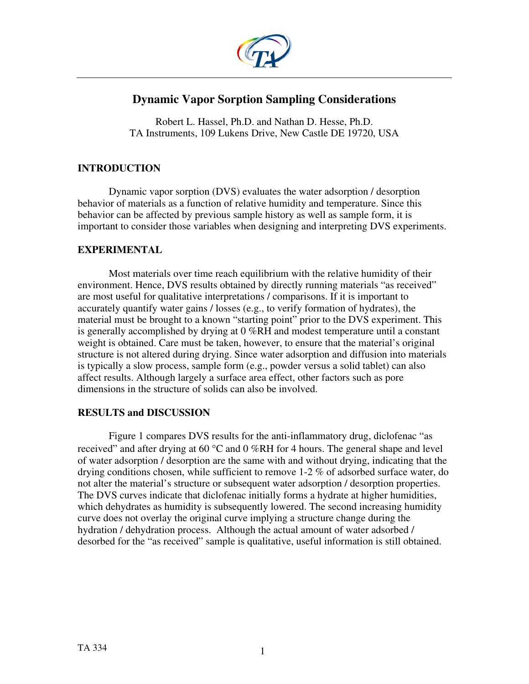

# **Dynamic Vapor Sorption Sampling Considerations**

Robert L. Hassel, Ph.D. and Nathan D. Hesse, Ph.D. TA Instruments, 109 Lukens Drive, New Castle DE 19720, USA

# **INTRODUCTION**

Dynamic vapor sorption (DVS) evaluates the water adsorption / desorption behavior of materials as a function of relative humidity and temperature. Since this behavior can be affected by previous sample history as well as sample form, it is important to consider those variables when designing and interpreting DVS experiments.

# **EXPERIMENTAL**

Most materials over time reach equilibrium with the relative humidity of their environment. Hence, DVS results obtained by directly running materials "as received" are most useful for qualitative interpretations / comparisons. If it is important to accurately quantify water gains / losses (e.g., to verify formation of hydrates), the material must be brought to a known "starting point" prior to the DVS experiment. This is generally accomplished by drying at 0 %RH and modest temperature until a constant weight is obtained. Care must be taken, however, to ensure that the material's original structure is not altered during drying. Since water adsorption and diffusion into materials is typically a slow process, sample form (e.g., powder versus a solid tablet) can also affect results. Although largely a surface area effect, other factors such as pore dimensions in the structure of solids can also be involved.

# **RESULTS and DISCUSSION**

Figure 1 compares DVS results for the anti-inflammatory drug, diclofenac "as received" and after drying at 60 °C and 0 %RH for 4 hours. The general shape and level of water adsorption / desorption are the same with and without drying, indicating that the drying conditions chosen, while sufficient to remove 1-2 % of adsorbed surface water, do not alter the material's structure or subsequent water adsorption / desorption properties. The DVS curves indicate that diclofenac initially forms a hydrate at higher humidities, which dehydrates as humidity is subsequently lowered. The second increasing humidity curve does not overlay the original curve implying a structure change during the hydration / dehydration process. Although the actual amount of water adsorbed / desorbed for the "as received" sample is qualitative, useful information is still obtained.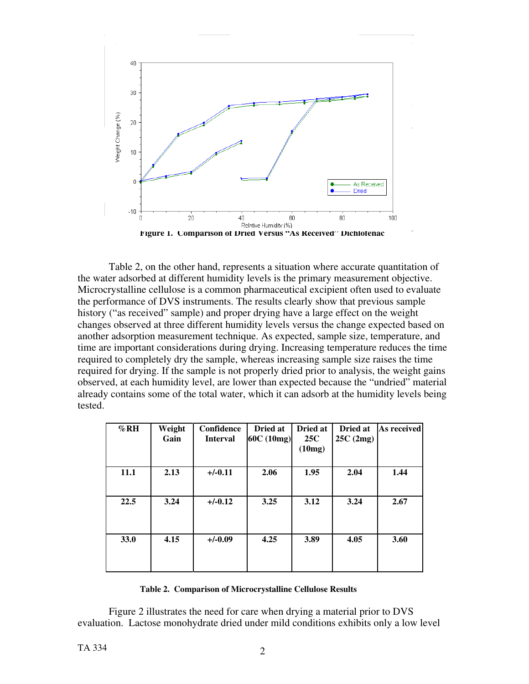

Table 2, on the other hand, represents a situation where accurate quantitation of the water adsorbed at different humidity levels is the primary measurement objective. Microcrystalline cellulose is a common pharmaceutical excipient often used to evaluate the performance of DVS instruments. The results clearly show that previous sample history ("as received" sample) and proper drying have a large effect on the weight changes observed at three different humidity levels versus the change expected based on another adsorption measurement technique. As expected, sample size, temperature, and time are important considerations during drying. Increasing temperature reduces the time required to completely dry the sample, whereas increasing sample size raises the time required for drying. If the sample is not properly dried prior to analysis, the weight gains observed, at each humidity level, are lower than expected because the "undried" material already contains some of the total water, which it can adsorb at the humidity levels being tested.

| $\%$ RH | Weight<br>Gain | Confidence<br><b>Interval</b> | Dried at<br>60C (10mg) | Dried at<br><b>25C</b><br>(10mg) | Dried at<br>25C(2mg) | As received |
|---------|----------------|-------------------------------|------------------------|----------------------------------|----------------------|-------------|
| 11.1    | 2.13           | $+/-0.11$                     | 2.06                   | 1.95                             | 2.04                 | 1.44        |
| 22.5    | 3.24           | $+/-0.12$                     | 3.25                   | 3.12                             | 3.24                 | 2.67        |
| 33.0    | 4.15           | $+/-0.09$                     | 4.25                   | 3.89                             | 4.05                 | 3.60        |

## **Table 2. Comparison of Microcrystalline Cellulose Results**

Figure 2 illustrates the need for care when drying a material prior to DVS evaluation. Lactose monohydrate dried under mild conditions exhibits only a low level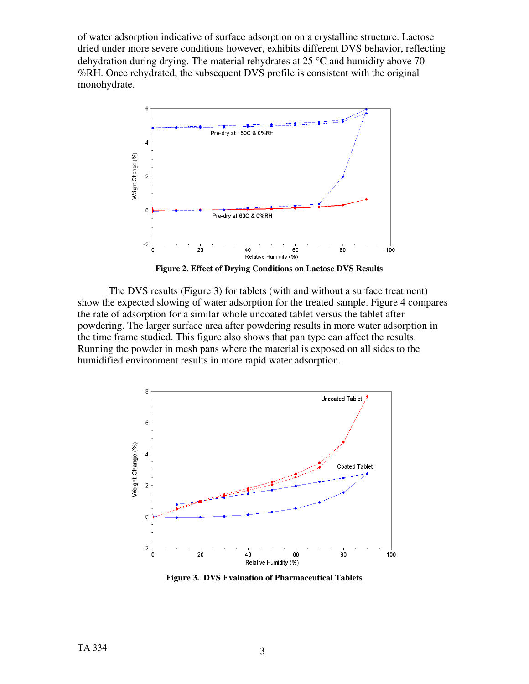of water adsorption indicative of surface adsorption on a crystalline structure. Lactose dried under more severe conditions however, exhibits different DVS behavior, reflecting dehydration during drying. The material rehydrates at 25 °C and humidity above 70 %RH. Once rehydrated, the subsequent DVS profile is consistent with the original monohydrate.



**Figure 2. Effect of Drying Conditions on Lactose DVS Results** 

The DVS results (Figure 3) for tablets (with and without a surface treatment) show the expected slowing of water adsorption for the treated sample. Figure 4 compares the rate of adsorption for a similar whole uncoated tablet versus the tablet after powdering. The larger surface area after powdering results in more water adsorption in the time frame studied. This figure also shows that pan type can affect the results. Running the powder in mesh pans where the material is exposed on all sides to the humidified environment results in more rapid water adsorption.



**Figure 3. DVS Evaluation of Pharmaceutical Tablets**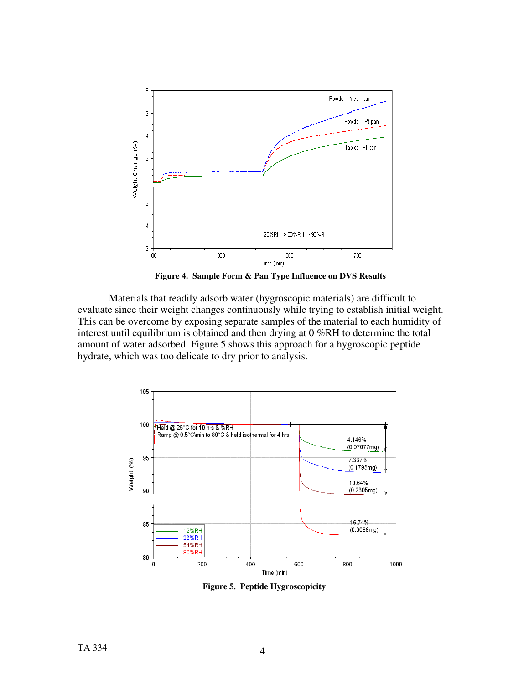

 **Figure 4. Sample Form & Pan Type Influence on DVS Results** 

Materials that readily adsorb water (hygroscopic materials) are difficult to evaluate since their weight changes continuously while trying to establish initial weight. This can be overcome by exposing separate samples of the material to each humidity of interest until equilibrium is obtained and then drying at 0 %RH to determine the total amount of water adsorbed. Figure 5 shows this approach for a hygroscopic peptide hydrate, which was too delicate to dry prior to analysis.



**Figure 5. Peptide Hygroscopicity**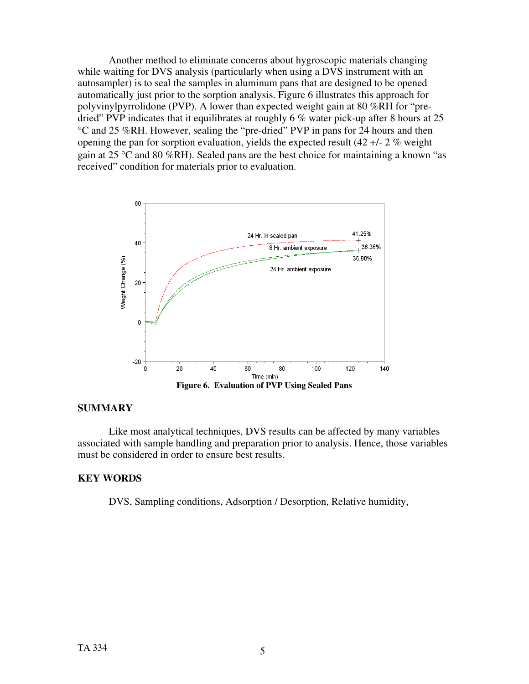Another method to eliminate concerns about hygroscopic materials changing while waiting for DVS analysis (particularly when using a DVS instrument with an autosampler) is to seal the samples in aluminum pans that are designed to be opened automatically just prior to the sorption analysis. Figure 6 illustrates this approach for polyvinylpyrrolidone (PVP). A lower than expected weight gain at 80 %RH for "predried" PVP indicates that it equilibrates at roughly 6 % water pick-up after 8 hours at 25 °C and 25 %RH. However, sealing the "pre-dried" PVP in pans for 24 hours and then opening the pan for sorption evaluation, yields the expected result (42 +/- 2 % weight gain at 25 °C and 80 %RH). Sealed pans are the best choice for maintaining a known "as received" condition for materials prior to evaluation.



## **SUMMARY**

Like most analytical techniques, DVS results can be affected by many variables associated with sample handling and preparation prior to analysis. Hence, those variables must be considered in order to ensure best results.

## **KEY WORDS**

DVS, Sampling conditions, Adsorption / Desorption, Relative humidity,